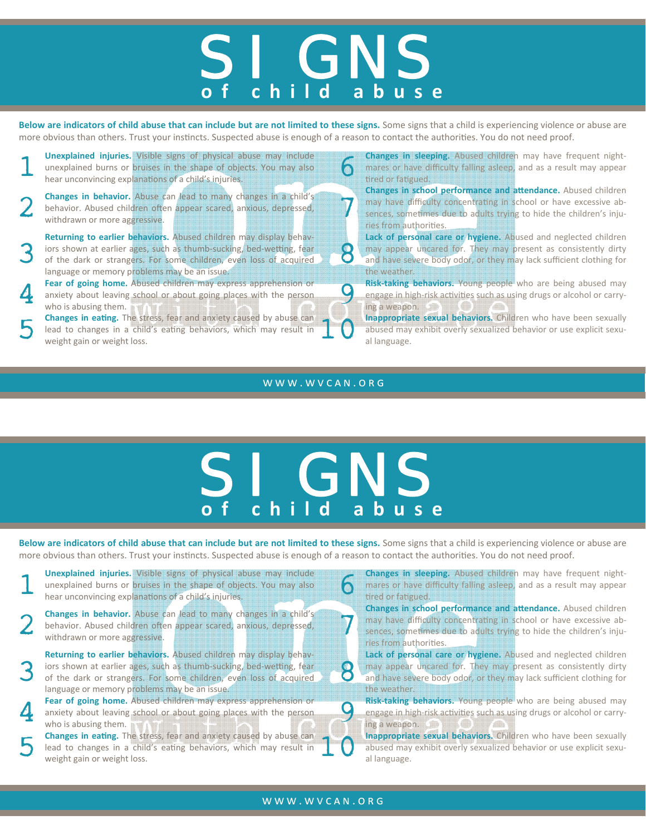## SI GNS **o f child abuse**

Below are indicators of child abuse that can include but are not limited to these signs. Some signs that a child is experiencing violence or abuse are more obvious than others. Trust your instincts. Suspected abuse is enough of a reason to contact the authorities. You do not need proof.

**1 Unexplained injuries.** Visible signs of physical abuse may include unexplained burns or bruises in the shape of objects. You may also hear unconvincing explanations of a child's injuries. unexplained burns or bruises in the shape of objects. You may also

**2 Changes in behavior.** Abuse can lead to many changes in a child's behavior. Abused children often appear scared, anxious, depressed, withdrawn or more aggressive. behavior. Abused children often appear scared, anxious, depressed, **Changes in behavior.** Abuse can lead to many changes in a child's behavior. Abused children often appear scared, anxious, depressed,  $\overline{J}$ 

 $3<sup>1</sup>$ **Returning to earlier behaviors.** Abused children may display behav‐ iors shown at earlier ages, such as thumb-sucking, bed-wetting, fear of the dark or strangers. For some children, even loss of acquired language or memory problems may be an issue.

**Fear of going home.** Abused children may express apprehension or anxiety about leaving school or about going places with the person who is abusing them. anxiety about leaving school or about going places with the person

**5 Changes in eating.** The stress, fear and anxiety caused by abuse can lead to changes in a child's eating behaviors, which may result in weight gain or weight loss. lead to changes in a child's eating behaviors, which may result in **Changes in eating.** The stress, fear and anxiety caused by abuse can<br>lead to changes in a child's eating behaviors, which may result in **1 C** abused may exhibit overly sexualized behavior or use explicit sexu-<br>weight gain

**Unexplained injuries.** Visible signs of physical abuse may include<br>unexplained burns or bruises in the shape of objects. You may also<br>hear unconvincing explanations of a child's injuries.<br>tired or fatigued. mares or have difficulty falling asleep, and as a result may appear tired or fatigued.

> **Changes in school performance and aƩendance.** Abused children may have difficulty concentrating in school or have excessive absences, sometimes due to adults trying to hide the children's injuries from authorities.

8 **Lack of personal care or hygiene.** Abused and neglected children may appear uncared for. They may present as consistently dirty and have severe body odor, or they may lack sufficient clothing for the weather.

**Fear of going home.** Abused children may express apprehension or **Common Common Common Common Common Common Common Common Common Common Common Common Common Common Common Common Common Common Common Common Common Common C** engage in high-risk activities such as using drugs or alcohol or carrying a weapon.

> abused may exhibit overly sexualized behavior or use explicit sexu‐ al language.

## WWW.WVCAN.ORG



Below are indicators of child abuse that can include but are not limited to these signs. Some signs that a child is experiencing violence or abuse are more obvious than others. Trust your instincts. Suspected abuse is enough of a reason to contact the authorities. You do not need proof.

**1 Unexplained injuries.** Visible signs of physical abuse may include unexplained burns or bruises in the shape of objects. You may also hear unconvincing explanations of a child's injuries. unexplained burns or bruises in the shape of objects. You may also

**2 Changes in behavior.** Abuse can lead to many changes in a child's behavior. Abused children often appear scared, anxious, depressed, withdrawn or more aggressive. behavior. Abused children often appear scared, anxious, depressed, **Changes in behavior.** Abuse can lead to many changes in a child's  $\sum_{s}$  behavior. Abused children often appear scared, anxious, depressed,  $\sum_{s}$ 

3 **Returning to earlier behaviors.** Abused children may display behav‐ iors shown at earlier ages, such as thumb-sucking, bed-wetting, fear of the dark or strangers. For some children, even loss of acquired language or memory problems may be an issue.

**Pear of going home.** Abused children may express apprehension or anxiety about leaving school or about going places with the person who is abusing them. anxiety about leaving school or about going places with the person **Fear of going home.** Abused children may express apprehension or **Communishing in the people who are being abused may anxiety about leaving school or about going places with the person anxiety engage in high-risk activiti 5 Changes in eating.** The stress, fear and anxiety caused by abuse can lead to changes in a child's eating behaviors, which may result in weight gain or weight loss. lead to changes in a child's eating behaviors, which may result in

**Unexplained injuries.** Visible signs of physical abuse may include<br>unexplained burns or bruises in the shape of objects. You may also<br>hear unconvincing explanations of a child's injuries. <br>hear unconvincing explanations mares or have difficulty falling asleep, and as a result may appear tired or fatigued.

> **Changes in school performance and aƩendance.** Abused children may have difficulty concentrating in school or have excessive absences, sometimes due to adults trying to hide the children's injuries from authorities.

8 **Lack of personal care or hygiene.** Abused and neglected children may appear uncared for. They may present as consistently dirty and have severe body odor, or they may lack sufficient clothing for the weather.

engage in high-risk activities such as using drugs or alcohol or carry-

ing a weapon.<br>**Inappropriate sexual behaviors.** Children who have been sexually **Changes in eating.** The stress, fear and anxiety caused by abuse can<br>lead to changes in a child's eating behaviors, which may result in **1 C** abused may exhibit overly sexualized behavior or use explicit sexu-<br>weight gain abused may exhibit overly sexualized behavior or use explicit sexu‐ al language.

## WWW.WVCAN.ORG